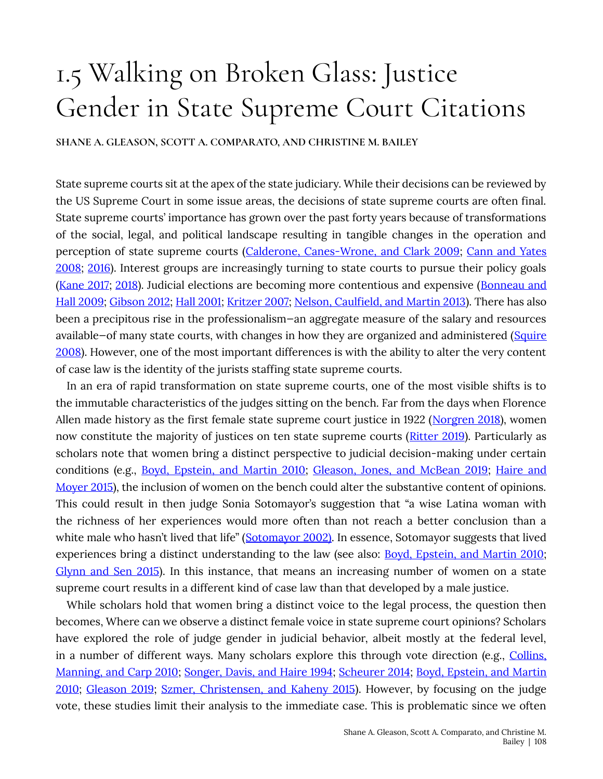# 1.5 Walking on Broken Glass: Justice Gender in State Supreme Court Citations

SHANE A. GLEASON, SCOTT A. COMPARATO, AND CHRISTINE M. BAILEY

State supreme courts sit at the apex of the state judiciary. While their decisions can be reviewed by the US Supreme Court in some issue areas, the decisions of state supreme courts are often final. State supreme courts' importance has grown over the past forty years because of transformations of the social, legal, and political landscape resulting in tangible changes in the operation and perception of state supreme courts (Calderone, Canes-Wrone, and Clark 2009; Cann and Yates 2008; 2016). Interest groups are increasingly turning to state courts to pursue their policy goals (Kane 2017; 2018). Judicial elections are becoming more contentious and expensive (Bonneau and Hall 2009; Gibson 2012; Hall 2001; Kritzer 2007; Nelson, Caulfield, and Martin 2013). There has also been a precipitous rise in the professionalism-an aggregate measure of the salary and resources available-of many state courts, with changes in how they are organized and administered (Squire 2008). However, one of the most important differences is with the ability to alter the very content of case law is the identity of the jurists staffing state supreme courts.

In an era of rapid transformation on state supreme courts, one of the most visible shifts is to the immutable characteristics of the judges sitting on the bench. Far from the days when Florence Allen made history as the first female state supreme court justice in 1922 (Norgren 2018), women now constitute the majority of justices on ten state supreme courts (Ritter 2019). Particularly as scholars note that women bring a distinct perspective to judicial decision-making under certain conditions (e.g., Boyd, Epstein, and Martin 2010; Gleason, Jones, and McBean 2019; Haire and Mover 2015), the inclusion of women on the bench could alter the substantive content of opinions. This could result in then judge Sonia Sotomayor's suggestion that "a wise Latina woman with the richness of her experiences would more often than not reach a better conclusion than a white male who hasn't lived that life" (Sotomayor 2002). In essence, Sotomayor suggests that lived experiences bring a distinct understanding to the law (see also: Boyd, Epstein, and Martin 2010; Glynn and Sen 2015). In this instance, that means an increasing number of women on a state supreme court results in a different kind of case law than that developed by a male justice.

While scholars hold that women bring a distinct voice to the legal process, the question then becomes, Where can we observe a distinct female voice in state supreme court opinions? Scholars have explored the role of judge gender in judicial behavior, albeit mostly at the federal level, in a number of different ways. Many scholars explore this through vote direction (e.g., Collins, Manning, and Carp 2010; Songer, Davis, and Haire 1994; Scheurer 2014; Boyd, Epstein, and Martin 2010; Gleason 2019; Szmer, Christensen, and Kaheny 2015). However, by focusing on the judge vote, these studies limit their analysis to the immediate case. This is problematic since we often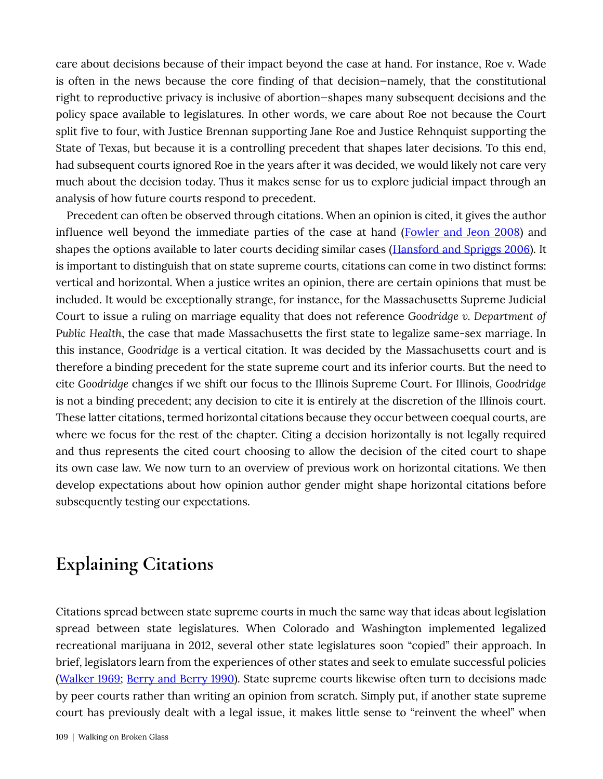care about decisions because of their impact beyond the case at hand. For instance, Roe v. Wade is often in the news because the core finding of that decision—namely, that the constitutional right to reproductive privacy is inclusive of abortion—shapes many subsequent decisions and the policy space available to legislatures. In other words, we care about Roe not because the Court split five to four, with Justice Brennan supporting Jane Roe and Justice Rehnquist supporting the State of Texas, but because it is a controlling precedent that shapes later decisions. To this end, had subsequent courts ignored Roe in the years after it was decided, we would likely not care very much about the decision today. Thus it makes sense for us to explore judicial impact through an analysis of how future courts respond to precedent.

Precedent can often be observed through citations. When an opinion is cited, it gives the author influence well beyond the immediate parties of the case at hand (**Fowler and Jeon 2008**) and shapes the options available to later courts deciding similar cases (Hansford and Spriggs 2006). It is important to distinguish that on state supreme courts, citations can come in two distinct forms: vertical and horizontal. When a justice writes an opinion, there are certain opinions that must be included. It would be exceptionally strange, for instance, for the Massachusetts Supreme Judicial Court to issue a ruling on marriage equality that does not reference *Goodridge v. Department of* Public Health, the case that made Massachusetts the first state to legalize same-sex marriage. In this instance, *���������* is a vertical citation. It was decided by the Massachusetts court and is therefore a binding precedent for the state supreme court and its inferior courts. But the need to cite *Goodridge* changes if we shift our focus to the Illinois Supreme Court. For Illinois, *Goodridge* is not a binding precedent; any decision to cite it is entirely at the discretion of the Illinois court. These latter citations, termed horizontal citations because they occur between coequal courts, are where we focus for the rest of the chapter. Citing a decision horizontally is not legally required and thus represents the cited court choosing to allow the decision of the cited court to shape its own case law. We now turn to an overview of previous work on horizontal citations. We then develop expectations about how opinion author gender might shape horizontal citations before subsequently testing our expectations.

## **Explaining Citations**

Citations spread between state supreme courts in much the same way that ideas about legislation spread between state legislatures. When Colorado and Washington implemented legalized recreational marijuana in 2012, several other state legislatures soon "copied" their approach. In brief, legislators learn from the experiences of other states and seek to emulate successful policies (Walker 1969; Berry and Berry 1990). State supreme courts likewise often turn to decisions made by peer courts rather than writing an opinion from scratch. Simply put, if another state supreme court has previously dealt with a legal issue, it makes little sense to "reinvent the wheel" when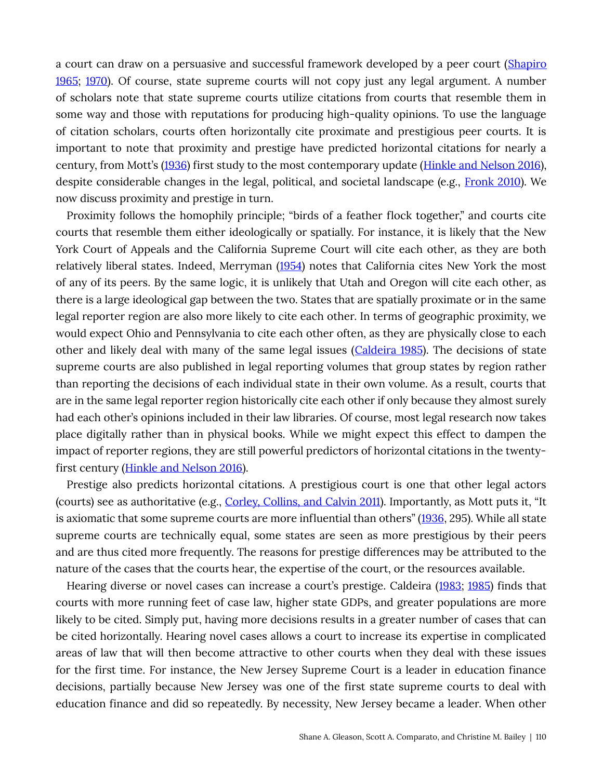a court can draw on a persuasive and successful framework developed by a peer court (Shapiro 1965; 1970). Of course, state supreme courts will not copy just any legal argument. A number of scholars note that state supreme courts utilize citations from courts that resemble them in some way and those with reputations for producing high-quality opinions. To use the language of citation scholars, courts often horizontally cite proximate and prestigious peer courts. It is important to note that proximity and prestige have predicted horizontal citations for nearly a century, from Mott's (1936) first study to the most contemporary update (Hinkle and Nelson 2016), despite considerable changes in the legal, political, and societal landscape (e.g., Fronk 2010). We now discuss proximity and prestige in turn.

Proximity follows the homophily principle; "birds of a feather flock together," and courts cite courts that resemble them either ideologically or spatially. For instance, it is likely that the New York Court of Appeals and the California Supreme Court will cite each other, as they are both relatively liberal states. Indeed, Merryman (1954) notes that California cites New York the most of any of its peers. By the same logic, it is unlikely that Utah and Oregon will cite each other, as there is a large ideological gap between the two. States that are spatially proximate or in the same legal reporter region are also more likely to cite each other. In terms of geographic proximity, we would expect Ohio and Pennsylvania to cite each other often, as they are physically close to each other and likely deal with many of the same legal issues (Caldeira 1985). The decisions of state supreme courts are also published in legal reporting volumes that group states by region rather than reporting the decisions of each individual state in their own volume. As a result, courts that are in the same legal reporter region historically cite each other if only because they almost surely had each other's opinions included in their law libraries. Of course, most legal research now takes place digitally rather than in physical books. While we might expect this effect to dampen the impact of reporter regions, they are still powerful predictors of horizontal citations in the twentyfirst century (Hinkle and Nelson 2016).

Prestige also predicts horizontal citations. A prestigious court is one that other legal actors (courts) see as authoritative (e.g., Corley, Collins, and Calvin 2011). Importantly, as Mott puts it, "It is axiomatic that some supreme courts are more influential than others" (1936, 295). While all state supreme courts are technically equal, some states are seen as more prestigious by their peers and are thus cited more frequently. The reasons for prestige differences may be attributed to the nature of the cases that the courts hear, the expertise of the court, or the resources available.

Hearing diverse or novel cases can increase a court's prestige. Caldeira (1983; 1985) finds that courts with more running feet of case law, higher state GDPs, and greater populations are more likely to be cited. Simply put, having more decisions results in a greater number of cases that can be cited horizontally. Hearing novel cases allows a court to increase its expertise in complicated areas of law that will then become attractive to other courts when they deal with these issues for the first time. For instance, the New Jersey Supreme Court is a leader in education finance decisions, partially because New Jersey was one of the first state supreme courts to deal with education finance and did so repeatedly. By necessity, New Jersey became a leader. When other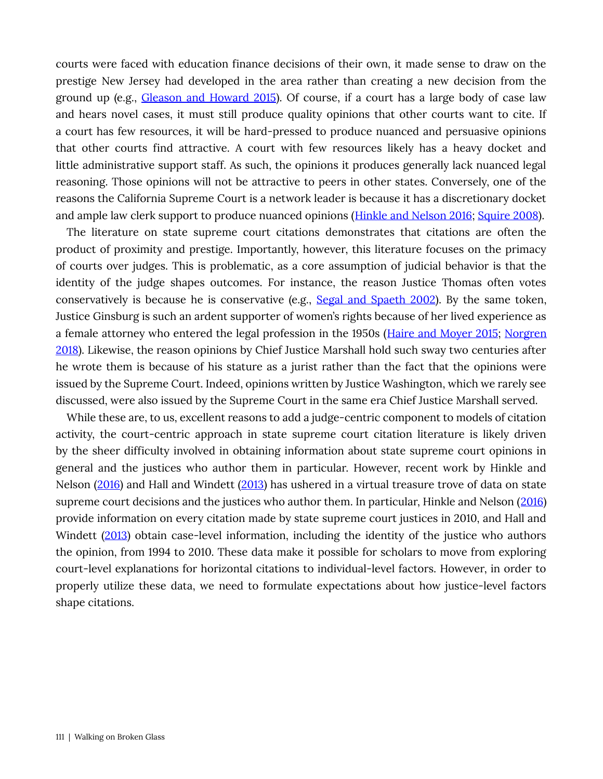courts were faced with education finance decisions of their own, it made sense to draw on the prestige New Jersey had developed in the area rather than creating a new decision from the ground up (e.g., Gleason and Howard 2015). Of course, if a court has a large body of case law and hears novel cases, it must still produce quality opinions that other courts want to cite. If a court has few resources, it will be hard-pressed to produce nuanced and persuasive opinions that other courts find attractive. A court with few resources likely has a heavy docket and little administrative support staff. As such, the opinions it produces generally lack nuanced legal reasoning. Those opinions will not be attractive to peers in other states. Conversely, one of the reasons the California Supreme Court is a network leader is because it has a discretionary docket and ample law clerk support to produce nuanced opinions (Hinkle and Nelson 2016; Squire 2008).

The literature on state supreme court citations demonstrates that citations are often the product of proximity and prestige. Importantly, however, this literature focuses on the primacy of courts over judges. This is problematic, as a core assumption of judicial behavior is that the identity of the judge shapes outcomes. For instance, the reason Justice Thomas often votes conservatively is because he is conservative (e.g., Segal and Spaeth 2002). By the same token, Justice Ginsburg is such an ardent supporter of women's rights because of her lived experience as a female attorney who entered the legal profession in the 1950s (Haire and Moyer 2015; Norgren 2018). Likewise, the reason opinions by Chief Justice Marshall hold such sway two centuries after he wrote them is because of his stature as a jurist rather than the fact that the opinions were issued by the Supreme Court. Indeed, opinions written by Justice Washington, which we rarely see discussed, were also issued by the Supreme Court in the same era Chief Justice Marshall served.

While these are, to us, excellent reasons to add a judge-centric component to models of citation activity, the court-centric approach in state supreme court citation literature is likely driven by the sheer difficulty involved in obtaining information about state supreme court opinions in general and the justices who author them in particular. However, recent work by Hinkle and Nelson (2016) and Hall and Windett (2013) has ushered in a virtual treasure trove of data on state supreme court decisions and the justices who author them. In particular, Hinkle and Nelson (2016) provide information on every citation made by state supreme court justices in 2010, and Hall and Windett (2013) obtain case-level information, including the identity of the justice who authors the opinion, from 1994 to 2010. These data make it possible for scholars to move from exploring court-level explanations for horizontal citations to individual-level factors. However, in order to properly utilize these data, we need to formulate expectations about how justice-level factors shape citations.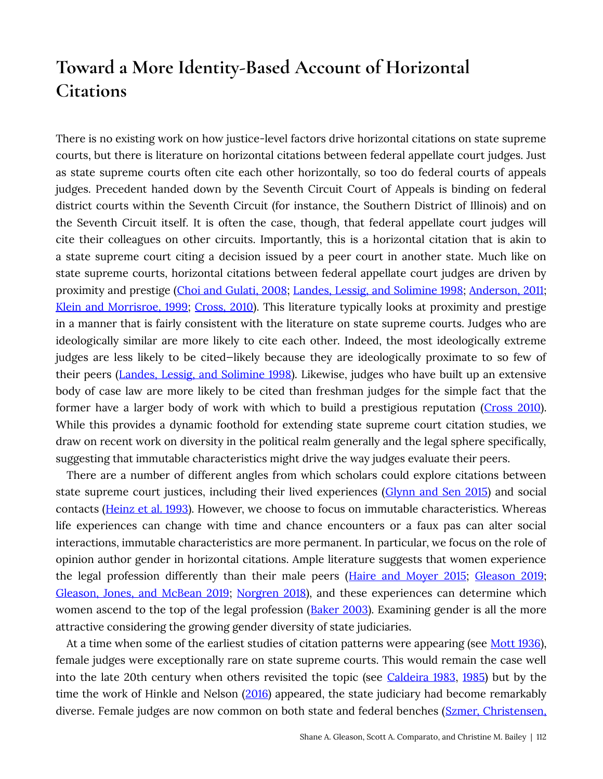# Toward a More Identity-Based Account of Horizontal **Citations**

There is no existing work on how justice-level factors drive horizontal citations on state supreme courts, but there is literature on horizontal citations between federal appellate court judges. Just as state supreme courts often cite each other horizontally, so too do federal courts of appeals judges. Precedent handed down by the Seventh Circuit Court of Appeals is binding on federal district courts within the Seventh Circuit (for instance, the Southern District of Illinois) and on the Seventh Circuit itself. It is often the case, though, that federal appellate court judges will cite their colleagues on other circuits. Importantly, this is a horizontal citation that is akin to a state supreme court citing a decision issued by a peer court in another state. Much like on state supreme courts, horizontal citations between federal appellate court judges are driven by proximity and prestige (Choi and Gulati, 2008; Landes, Lessig, and Solimine 1998; Anderson, 2011; Klein and Morrisroe, 1999; Cross, 2010). This literature typically looks at proximity and prestige in a manner that is fairly consistent with the literature on state supreme courts. Judges who are ideologically similar are more likely to cite each other. Indeed, the most ideologically extreme judges are less likely to be cited—likely because they are ideologically proximate to so few of their peers (Landes, Lessig, and Solimine 1998). Likewise, judges who have built up an extensive body of case law are more likely to be cited than freshman judges for the simple fact that the former have a larger body of work with which to build a prestigious reputation (Cross 2010). While this provides a dynamic foothold for extending state supreme court citation studies, we draw on recent work on diversity in the political realm generally and the legal sphere specifically, suggesting that immutable characteristics might drive the way judges evaluate their peers.

There are a number of different angles from which scholars could explore citations between state supreme court justices, including their lived experiences (Glynn and Sen 2015) and social contacts (Heinz et al. 1993). However, we choose to focus on immutable characteristics. Whereas life experiences can change with time and chance encounters or a faux pas can alter social interactions, immutable characteristics are more permanent. In particular, we focus on the role of opinion author gender in horizontal citations. Ample literature suggests that women experience the legal profession differently than their male peers (Haire and Moyer 2015; Gleason 2019; Gleason, Jones, and McBean 2019; Norgren 2018), and these experiences can determine which women ascend to the top of the legal profession (Baker 2003). Examining gender is all the more attractive considering the growing gender diversity of state judiciaries.

At a time when some of the earliest studies of citation patterns were appearing (see Mott 1936), female judges were exceptionally rare on state supreme courts. This would remain the case well into the late 20th century when others revisited the topic (see Caldeira 1983, 1985) but by the time the work of Hinkle and Nelson (2016) appeared, the state judiciary had become remarkably diverse. Female judges are now common on both state and federal benches (Szmer, Christensen,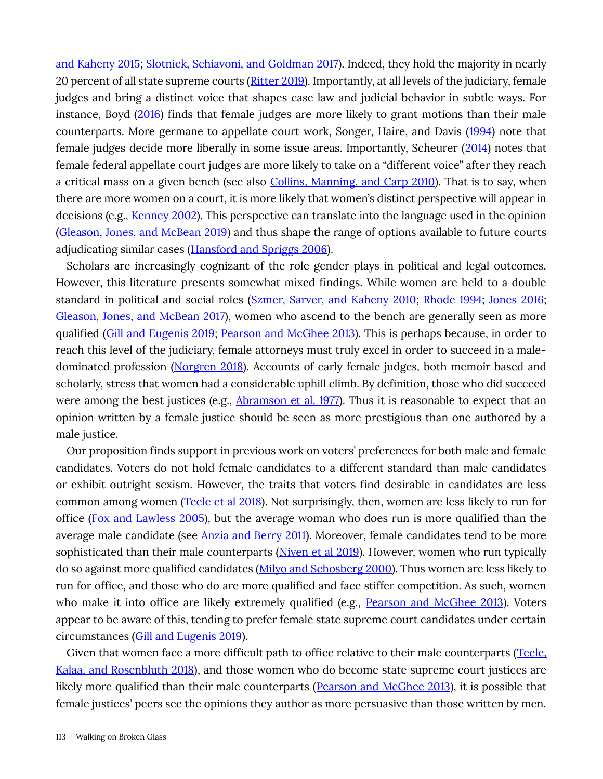and Kaheny 2015; Slotnick, Schiavoni, and Goldman 2017). Indeed, they hold the majority in nearly 20 percent of all state supreme courts (Ritter 2019). Importantly, at all levels of the judiciary, female judges and bring a distinct voice that shapes case law and judicial behavior in subtle ways. For instance, Boyd (2016) finds that female judges are more likely to grant motions than their male counterparts. More germane to appellate court work, Songer, Haire, and Davis (1994) note that female judges decide more liberally in some issue areas. Importantly, Scheurer (2014) notes that female federal appellate court judges are more likely to take on a "different voice" after they reach a critical mass on a given bench (see also Collins, Manning, and Carp 2010). That is to say, when there are more women on a court, it is more likely that women's distinct perspective will appear in decisions (e.g., Kenney 2002). This perspective can translate into the language used in the opinion (Gleason, Jones, and McBean 2019) and thus shape the range of options available to future courts adjudicating similar cases (**Hansford and Spriggs 2006**).

Scholars are increasingly cognizant of the role gender plays in political and legal outcomes. However, this literature presents somewhat mixed findings. While women are held to a double standard in political and social roles (Szmer, Sarver, and Kaheny 2010; Rhode 1994; Jones 2016; Gleason, Jones, and McBean 2017), women who ascend to the bench are generally seen as more qualified (Gill and Eugenis 2019; Pearson and McGhee 2013). This is perhaps because, in order to reach this level of the judiciary, female attorneys must truly excel in order to succeed in a maledominated profession (Norgren 2018). Accounts of early female judges, both memoir based and scholarly, stress that women had a considerable uphill climb. By definition, those who did succeed were among the best justices (e.g., Abramson et al. 1977). Thus it is reasonable to expect that an opinion written by a female justice should be seen as more prestigious than one authored by a male justice.

Our proposition finds support in previous work on voters' preferences for both male and female candidates. Voters do not hold female candidates to a different standard than male candidates or exhibit outright sexism. However, the traits that voters find desirable in candidates are less common among women (Teele et al 2018). Not surprisingly, then, women are less likely to run for office (Fox and Lawless 2005), but the average woman who does run is more qualified than the average male candidate (see Anzia and Berry 2011). Moreover, female candidates tend to be more sophisticated than their male counterparts (Niven et al 2019). However, women who run typically do so against more qualified candidates (Milyo and Schosberg 2000). Thus women are less likely to run for office, and those who do are more qualified and face stiffer competition. As such, women who make it into office are likely extremely qualified (e.g., Pearson and McGhee 2013). Voters appear to be aware of this, tending to prefer female state supreme court candidates under certain circumstances (Gill and Eugenis 2019).

Given that women face a more difficult path to office relative to their male counterparts (Teele, Kalaa, and Rosenbluth 2018), and those women who do become state supreme court justices are likely more qualified than their male counterparts (Pearson and McGhee 2013), it is possible that female justices' peers see the opinions they author as more persuasive than those written by men.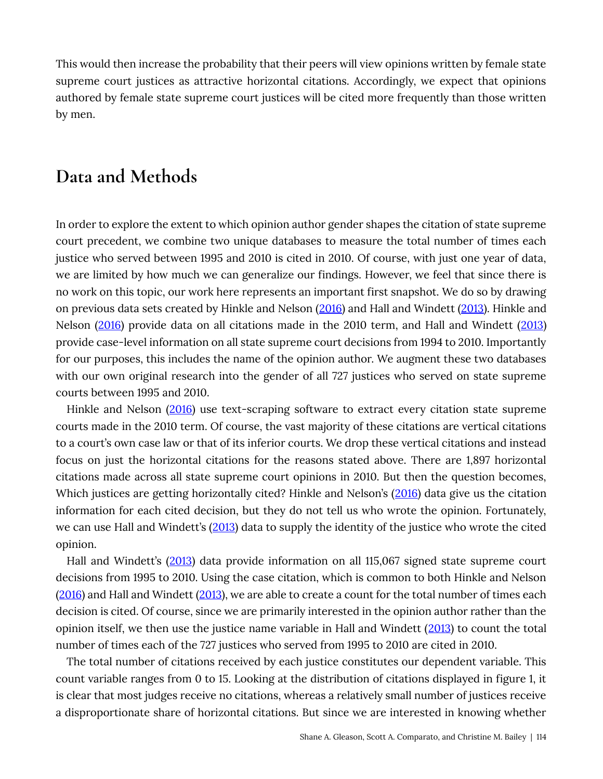This would then increase the probability that their peers will view opinions written by female state supreme court justices as attractive horizontal citations. Accordingly, we expect that opinions authored by female state supreme court justices will be cited more frequently than those written by men.

## Data and Methods

In order to explore the extent to which opinion author gender shapes the citation of state supreme court precedent, we combine two unique databases to measure the total number of times each justice who served between 1995 and 2010 is cited in 2010. Of course, with just one year of data, we are limited by how much we can generalize our findings. However, we feel that since there is no work on this topic, our work here represents an important first snapshot. We do so by drawing on previous data sets created by Hinkle and Nelson (2016) and Hall and Windett (2013). Hinkle and Nelson (2016) provide data on all citations made in the 2010 term, and Hall and Windett (2013) provide case-level information on all state supreme court decisions from 1994 to 2010. Importantly for our purposes, this includes the name of the opinion author. We augment these two databases with our own original research into the gender of all 727 justices who served on state supreme courts between 1995 and 2010.

Hinkle and Nelson (2016) use text-scraping software to extract every citation state supreme courts made in the 2010 term. Of course, the vast majority of these citations are vertical citations to a court's own case law or that of its inferior courts. We drop these vertical citations and instead focus on just the horizontal citations for the reasons stated above. There are 1,897 horizontal citations made across all state supreme court opinions in 2010. But then the question becomes, Which justices are getting horizontally cited? Hinkle and Nelson's (2016) data give us the citation information for each cited decision, but they do not tell us who wrote the opinion. Fortunately, we can use Hall and Windett's (2013) data to supply the identity of the justice who wrote the cited opinion.

Hall and Windett's (2013) data provide information on all 115,067 signed state supreme court decisions from 1995 to 2010. Using the case citation, which is common to both Hinkle and Nelson (2016) and Hall and Windett (2013), we are able to create a count for the total number of times each decision is cited. Of course, since we are primarily interested in the opinion author rather than the opinion itself, we then use the justice name variable in Hall and Windett (2013) to count the total number of times each of the 727 justices who served from 1995 to 2010 are cited in 2010.

The total number of citations received by each justice constitutes our dependent variable. This count variable ranges from 0 to 15. Looking at the distribution of citations displayed in figure 1, it is clear that most judges receive no citations, whereas a relatively small number of justices receive a disproportionate share of horizontal citations. But since we are interested in knowing whether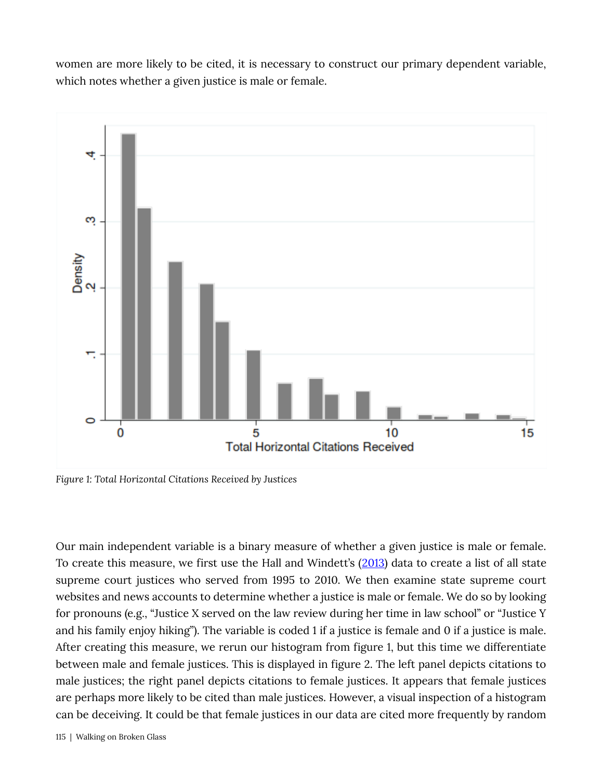women are more likely to be cited, it is necessary to construct our primary dependent variable, which notes whether a given justice is male or female.



Figure 1: Total Horizontal Citations Received by Justices

Our main independent variable is a binary measure of whether a given justice is male or female. To create this measure, we first use the Hall and Windett's (2013) data to create a list of all state supreme court justices who served from 1995 to 2010. We then examine state supreme court websites and news accounts to determine whether a justice is male or female. We do so by looking for pronouns (e.g., "Justice X served on the law review during her time in law school" or "Justice Y and his family enjoy hiking"). The variable is coded 1 if a justice is female and 0 if a justice is male. After creating this measure, we rerun our histogram from figure 1, but this time we differentiate between male and female justices. This is displayed in figure 2. The left panel depicts citations to male justices; the right panel depicts citations to female justices. It appears that female justices are perhaps more likely to be cited than male justices. However, a visual inspection of a histogram can be deceiving. It could be that female justices in our data are cited more frequently by random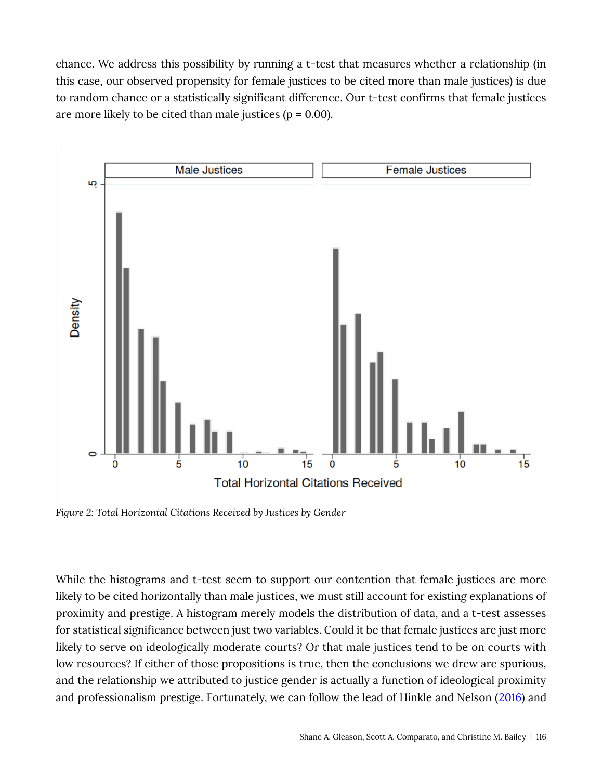chance. We address this possibility by running a t-test that measures whether a relationship (in this case, our observed propensity for female justices to be cited more than male justices) is due to random chance or a statistically significant difference. Our t-test confirms that female justices are more likely to be cited than male justices ( $p = 0.00$ ).



Figure 2: Total Horizontal Citations Received by Justices by Gender

While the histograms and t-test seem to support our contention that female justices are more likely to be cited horizontally than male justices, we must still account for existing explanations of proximity and prestige. A histogram merely models the distribution of data, and a t-test assesses for statistical significance between just two variables. Could it be that female justices are just more likely to serve on ideologically moderate courts? Or that male justices tend to be on courts with low resources? If either of those propositions is true, then the conclusions we drew are spurious, and the relationship we attributed to justice gender is actually a function of ideological proximity and professionalism prestige. Fortunately, we can follow the lead of Hinkle and Nelson (2016) and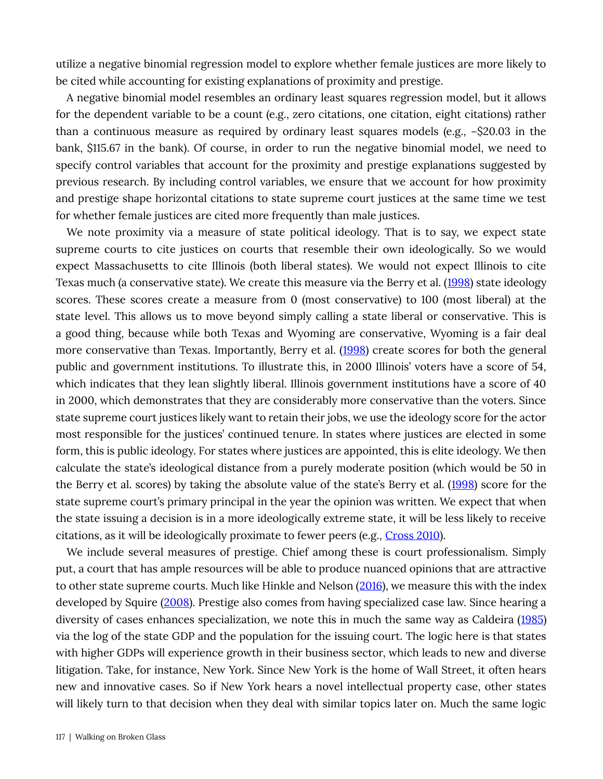utilize a negative binomial regression model to explore whether female justices are more likely to be cited while accounting for existing explanations of proximity and prestige.

A negative binomial model resembles an ordinary least squares regression model, but it allows for the dependent variable to be a count (e.g., zero citations, one citation, eight citations) rather than a continuous measure as required by ordinary least squares models (e.g., −\$20.03 in the bank, \$115.67 in the bank). Of course, in order to run the negative binomial model, we need to specify control variables that account for the proximity and prestige explanations suggested by previous research. By including control variables, we ensure that we account for how proximity and prestige shape horizontal citations to state supreme court justices at the same time we test for whether female justices are cited more frequently than male justices.

We note proximity via a measure of state political ideology. That is to say, we expect state supreme courts to cite justices on courts that resemble their own ideologically. So we would expect Massachusetts to cite Illinois (both liberal states). We would not expect Illinois to cite Texas much (a conservative state). We create this measure via the Berry et al. (1998) state ideology scores. These scores create a measure from 0 (most conservative) to 100 (most liberal) at the state level. This allows us to move beyond simply calling a state liberal or conservative. This is a good thing, because while both Texas and Wyoming are conservative, Wyoming is a fair deal more conservative than Texas. Importantly, Berry et al. (1998) create scores for both the general public and government institutions. To illustrate this, in 2000 Illinois' voters have a score of 54, which indicates that they lean slightly liberal. Illinois government institutions have a score of 40 in 2000, which demonstrates that they are considerably more conservative than the voters. Since state supreme court justices likely want to retain their jobs, we use the ideology score for the actor most responsible for the justices' continued tenure. In states where justices are elected in some form, this is public ideology. For states where justices are appointed, this is elite ideology. We then calculate the state's ideological distance from a purely moderate position (which would be 50 in the Berry et al. scores) by taking the absolute value of the state's Berry et al. (1998) score for the state supreme court's primary principal in the year the opinion was written. We expect that when the state issuing a decision is in a more ideologically extreme state, it will be less likely to receive citations, as it will be ideologically proximate to fewer peers (e.g., Cross 2010).

We include several measures of prestige. Chief among these is court professionalism. Simply put, a court that has ample resources will be able to produce nuanced opinions that are attractive to other state supreme courts. Much like Hinkle and Nelson (2016), we measure this with the index developed by Squire (2008). Prestige also comes from having specialized case law. Since hearing a diversity of cases enhances specialization, we note this in much the same way as Caldeira (1985) via the log of the state GDP and the population for the issuing court. The logic here is that states with higher GDPs will experience growth in their business sector, which leads to new and diverse litigation. Take, for instance, New York. Since New York is the home of Wall Street, it often hears new and innovative cases. So if New York hears a novel intellectual property case, other states will likely turn to that decision when they deal with similar topics later on. Much the same logic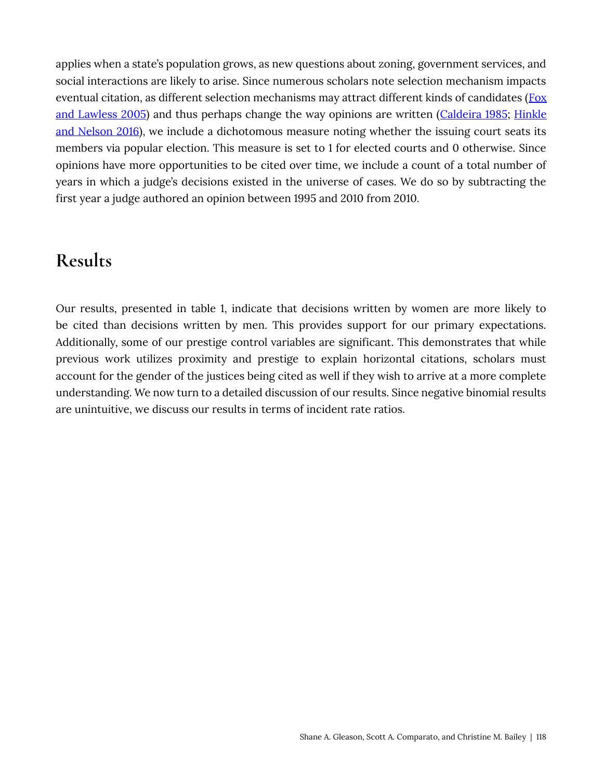applies when a state's population grows, as new questions about zoning, government services, and social interactions are likely to arise. Since numerous scholars note selection mechanism impacts eventual citation, as different selection mechanisms may attract different kinds of candidates (Fox and Lawless 2005) and thus perhaps change the way opinions are written (Caldeira 1985; Hinkle and Nelson 2016), we include a dichotomous measure noting whether the issuing court seats its members via popular election. This measure is set to 1 for elected courts and 0 otherwise. Since opinions have more opportunities to be cited over time, we include a count of a total number of years in which a judge's decisions existed in the universe of cases. We do so by subtracting the first year a judge authored an opinion between 1995 and 2010 from 2010.

#### **Results**

Our results, presented in table 1, indicate that decisions written by women are more likely to be cited than decisions written by men. This provides support for our primary expectations. Additionally, some of our prestige control variables are significant. This demonstrates that while previous work utilizes proximity and prestige to explain horizontal citations, scholars must account for the gender of the justices being cited as well if they wish to arrive at a more complete understanding. We now turn to a detailed discussion of our results. Since negative binomial results are unintuitive, we discuss our results in terms of incident rate ratios.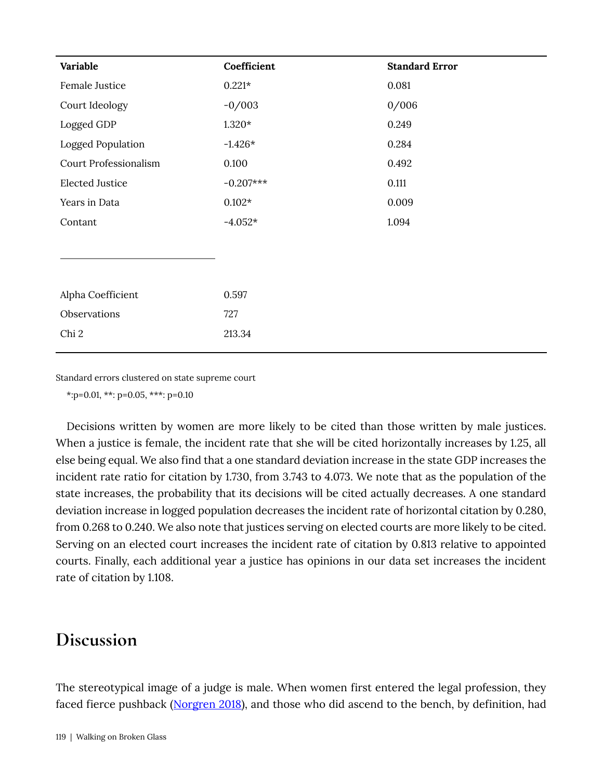| Variable               | Coefficient | <b>Standard Error</b> |
|------------------------|-------------|-----------------------|
| Female Justice         | $0.221*$    | 0.081                 |
| Court Ideology         | $-0/003$    | 0/006                 |
| Logged GDP             | $1.320*$    | 0.249                 |
| Logged Population      | $-1.426*$   | 0.284                 |
| Court Professionalism  | 0.100       | 0.492                 |
| <b>Elected Justice</b> | $-0.207***$ | 0.111                 |
| Years in Data          | $0.102*$    | 0.009                 |
| Contant                | $-4.052*$   | 1.094                 |
|                        |             |                       |
|                        |             |                       |
|                        |             |                       |
| Alpha Coefficient      | 0.597       |                       |
| Observations           | 727         |                       |
| Chi 2                  | 213.34      |                       |
|                        |             |                       |

Standard errors clustered on state supreme court

\*: p=0.01, \*\*: p=0.05, \*\*\*: p=0.10

Decisions written by women are more likely to be cited than those written by male justices. When a justice is female, the incident rate that she will be cited horizontally increases by 1.25, all else being equal. We also find that a one standard deviation increase in the state GDP increases the incident rate ratio for citation by 1.730, from 3.743 to 4.073. We note that as the population of the state increases, the probability that its decisions will be cited actually decreases. A one standard deviation increase in logged population decreases the incident rate of horizontal citation by 0.280, from 0.268 to 0.240. We also note that justices serving on elected courts are more likely to be cited. Serving on an elected court increases the incident rate of citation by 0.813 relative to appointed courts. Finally, each additional year a justice has opinions in our data set increases the incident rate of citation by 1.108.

#### Discussion

The stereotypical image of a judge is male. When women first entered the legal profession, they faced fierce pushback (Norgren 2018), and those who did ascend to the bench, by definition, had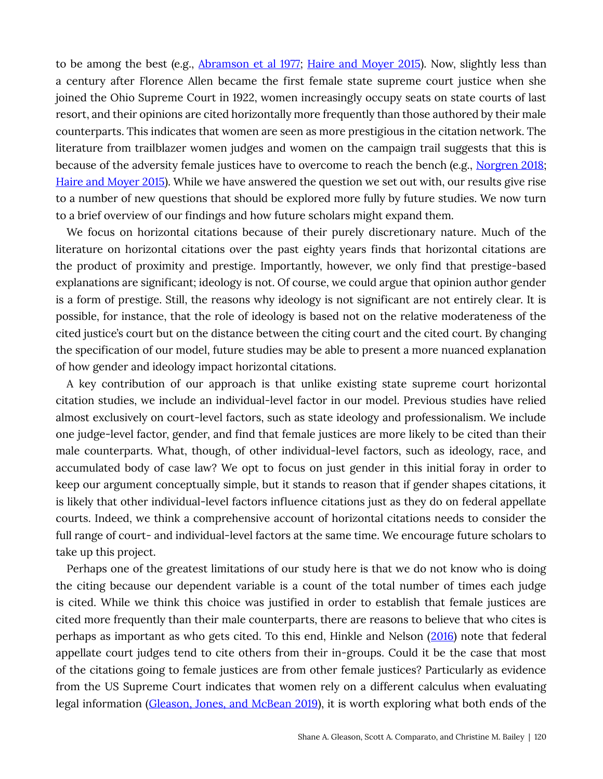to be among the best (e.g., Abramson et al 1977; Haire and Moyer 2015). Now, slightly less than a century after Florence Allen became the first female state supreme court justice when she joined the Ohio Supreme Court in 1922, women increasingly occupy seats on state courts of last resort, and their opinions are cited horizontally more frequently than those authored by their male counterparts. This indicates that women are seen as more prestigious in the citation network. The literature from trailblazer women judges and women on the campaign trail suggests that this is because of the adversity female justices have to overcome to reach the bench (e.g., Norgren 2018; Haire and Moyer 2015). While we have answered the question we set out with, our results give rise to a number of new questions that should be explored more fully by future studies. We now turn to a brief overview of our findings and how future scholars might expand them.

We focus on horizontal citations because of their purely discretionary nature. Much of the literature on horizontal citations over the past eighty years finds that horizontal citations are the product of proximity and prestige. Importantly, however, we only find that prestige-based explanations are significant; ideology is not. Of course, we could argue that opinion author gender is a form of prestige. Still, the reasons why ideology is not significant are not entirely clear. It is possible, for instance, that the role of ideology is based not on the relative moderateness of the cited justice's court but on the distance between the citing court and the cited court. By changing the specification of our model, future studies may be able to present a more nuanced explanation of how gender and ideology impact horizontal citations.

A key contribution of our approach is that unlike existing state supreme court horizontal citation studies, we include an individual-level factor in our model. Previous studies have relied almost exclusively on court-level factors, such as state ideology and professionalism. We include one judge-level factor, gender, and find that female justices are more likely to be cited than their male counterparts. What, though, of other individual-level factors, such as ideology, race, and accumulated body of case law? We opt to focus on just gender in this initial foray in order to keep our argument conceptually simple, but it stands to reason that if gender shapes citations, it is likely that other individual-level factors influence citations just as they do on federal appellate courts. Indeed, we think a comprehensive account of horizontal citations needs to consider the full range of court- and individual-level factors at the same time. We encourage future scholars to take up this project.

Perhaps one of the greatest limitations of our study here is that we do not know who is doing the citing because our dependent variable is a count of the total number of times each judge is cited. While we think this choice was justified in order to establish that female justices are cited more frequently than their male counterparts, there are reasons to believe that who cites is perhaps as important as who gets cited. To this end, Hinkle and Nelson (2016) note that federal appellate court judges tend to cite others from their in-groups. Could it be the case that most of the citations going to female justices are from other female justices? Particularly as evidence from the US Supreme Court indicates that women rely on a different calculus when evaluating legal information (Gleason, Jones, and McBean 2019), it is worth exploring what both ends of the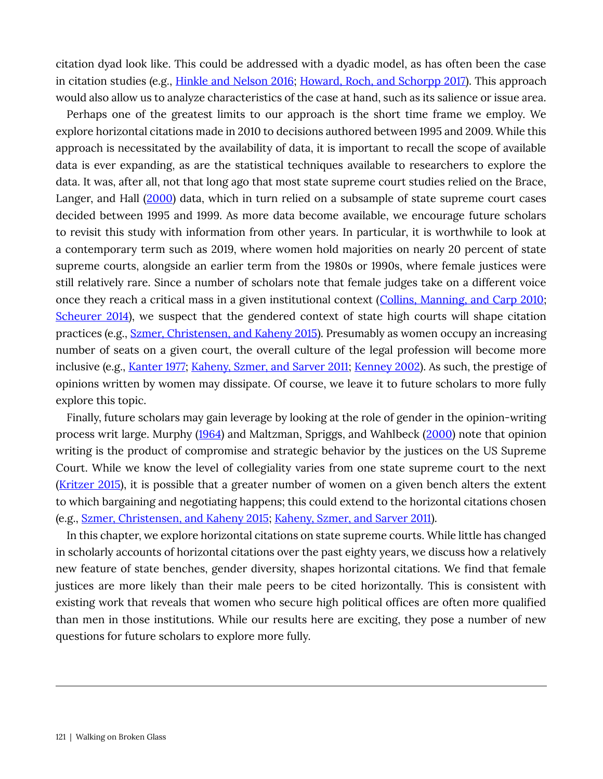citation dyad look like. This could be addressed with a dyadic model, as has often been the case in citation studies (e.g., Hinkle and Nelson 2016; Howard, Roch, and Schorpp 2017). This approach would also allow us to analyze characteristics of the case at hand, such as its salience or issue area.

Perhaps one of the greatest limits to our approach is the short time frame we employ. We explore horizontal citations made in 2010 to decisions authored between 1995 and 2009. While this approach is necessitated by the availability of data, it is important to recall the scope of available data is ever expanding, as are the statistical techniques available to researchers to explore the data. It was, after all, not that long ago that most state supreme court studies relied on the Brace, Langer, and Hall (2000) data, which in turn relied on a subsample of state supreme court cases decided between 1995 and 1999. As more data become available, we encourage future scholars to revisit this study with information from other years. In particular, it is worthwhile to look at a contemporary term such as 2019, where women hold majorities on nearly 20 percent of state supreme courts, alongside an earlier term from the 1980s or 1990s, where female justices were still relatively rare. Since a number of scholars note that female judges take on a different voice once they reach a critical mass in a given institutional context (Collins, Manning, and Carp 2010; Scheurer 2014), we suspect that the gendered context of state high courts will shape citation practices (e.g., Szmer, Christensen, and Kaheny 2015). Presumably as women occupy an increasing number of seats on a given court, the overall culture of the legal profession will become more inclusive (e.g., Kanter 1977; Kaheny, Szmer, and Sarver 2011; Kenney 2002). As such, the prestige of opinions written by women may dissipate. Of course, we leave it to future scholars to more fully explore this topic.

Finally, future scholars may gain leverage by looking at the role of gender in the opinion-writing process writ large. Murphy (1964) and Maltzman, Spriggs, and Wahlbeck (2000) note that opinion writing is the product of compromise and strategic behavior by the justices on the US Supreme Court. While we know the level of collegiality varies from one state supreme court to the next (Kritzer 2015), it is possible that a greater number of women on a given bench alters the extent to which bargaining and negotiating happens; this could extend to the horizontal citations chosen (e.g., Szmer, Christensen, and Kaheny 2015; Kaheny, Szmer, and Sarver 2011).

In this chapter, we explore horizontal citations on state supreme courts. While little has changed in scholarly accounts of horizontal citations over the past eighty years, we discuss how a relatively new feature of state benches, gender diversity, shapes horizontal citations. We find that female justices are more likely than their male peers to be cited horizontally. This is consistent with existing work that reveals that women who secure high political offices are often more qualified than men in those institutions. While our results here are exciting, they pose a number of new questions for future scholars to explore more fully.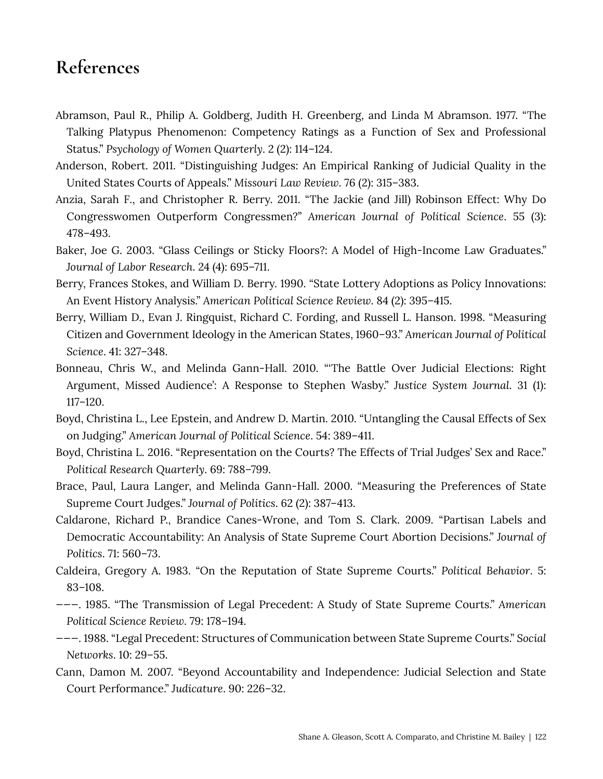## References

- Abramson, Paul R., Philip A. Goldberg, Judith H. Greenberg, and Linda M Abramson. 1977. "The Talking Platypus Phenomenon: Competency Ratings as a Function of Sex and Professional Status." Psychology of Women Quarterly. 2 (2): 114-124.
- Anderson, Robert. 2011. "Distinguishing Judges: An Empirical Ranking of Judicial Quality in the United States Courts of Appeals." Missouri Law Review. 76 (2): 315-383.
- Anzia, Sarah F., and Christopher R. Berry. 2011. "The Jackie (and Jill) Robinson Effect: Why Do Congresswomen Outperform Congressmen?" American Journal of Political Science. 55 (3): 478-493.
- Baker, Joe G. 2003. "Glass Ceilings or Sticky Floors?: A Model of High-Income Law Graduates." Journal of Labor Research. 24 (4): 695–711.
- Berry, Frances Stokes, and William D. Berry. 1990. "State Lottery Adoptions as Policy Innovations: An Event History Analysis." American Political Science Review. 84 (2): 395–415.
- Berry, William D., Evan J. Ringquist, Richard C. Fording, and Russell L. Hanson. 1998. "Measuring Citizen and Government Ideology in the American States, 1960-93." American Journal of Political Science. 41: 327-348.
- Bonneau, Chris W., and Melinda Gann-Hall. 2010. "The Battle Over Judicial Elections: Right Argument, Missed Audience': A Response to Stephen Wasby." Justice System Journal. 31 (1):  $117 - 120.$
- Boyd, Christina L., Lee Epstein, and Andrew D. Martin. 2010. "Untangling the Causal Effects of Sex on Judging." American Journal of Political Science. 54: 389–411.
- "Boyd, Christina L. 2016. "Representation on the Courts? The Effects of Trial Judges' Sex and Race." Political Research Quarterly. 69: 788-799.
- Brace, Paul, Laura Langer, and Melinda Gann-Hall. 2000. "Measuring the Preferences of State Supreme Court Judges." Journal of Politics. 62 (2): 387-413.
- Caldarone, Richard P., Brandice Canes-Wrone, and Tom S. Clark. 2009. "Partisan Labels and Democratic Accountability: An Analysis of State Supreme Court Abortion Decisions." Journal of Politics. 71: 560-73.
- Caldeira, Gregory A. 1983. "On the Reputation of State Supreme Courts." Political Behavior. 5:  $83 - 108.$
- $---$ . 1985. "The Transmission of Legal Precedent: A Study of State Supreme Courts." American Political Science Review. 79: 178-194.
- ---. 1988. "Legal Precedent: Structures of Communication between State Supreme Courts." Social Networks. 10: 29-55.
- Cann, Damon M. 2007. "Beyond Accountability and Independence: Judicial Selection and State Court Performance." Judicature. 90: 226-32.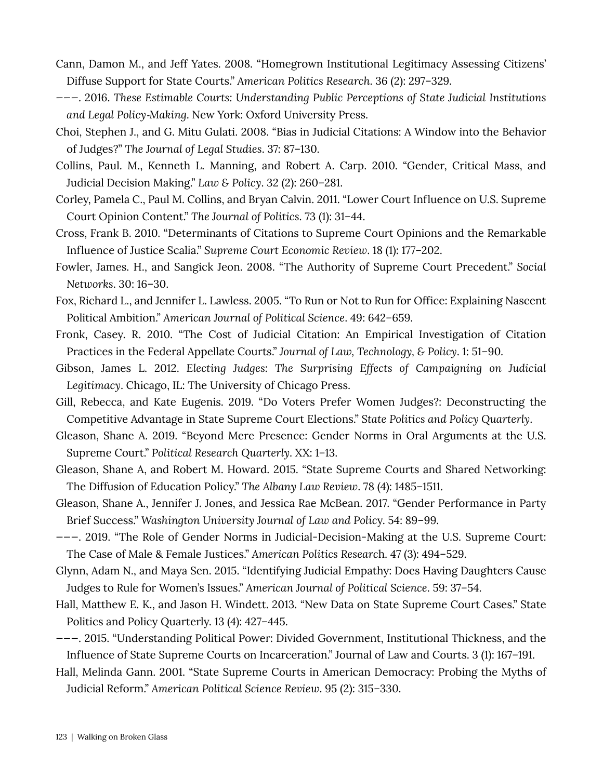- Cann, Damon M., and Jeff Yates. 2008. "Homegrown Institutional Legitimacy Assessing Citizens' Diffuse Support for State Courts." American Politics Research. 36 (2): 297-329.
- $---$ . 2016. These Estimable Courts: Understanding Public Perceptions of State Judicial Institutions and Legal Policy-Making. New York: Oxford University Press.
- Choi, Stephen J., and G. Mitu Gulati. 2008. "Bias in Judicial Citations: A Window into the Behavior of Judges?" The Journal of Legal Studies. 37: 87-130.
- Collins, Paul. M., Kenneth L. Manning, and Robert A. Carp. 2010. "Gender, Critical Mass, and Judicial Decision Making." Law & Policy. 32 (2): 260–281.
- Corley, Pamela C., Paul M. Collins, and Bryan Calvin. 2011. "Lower Court Influence on U.S. Supreme Court Opinion Content." The Journal of Politics. 73 (1): 31-44.
- Cross, Frank B. 2010. "Determinants of Citations to Supreme Court Opinions and the Remarkable Influence of Justice Scalia." Supreme Court Economic Review. 18 (1): 177–202.
- Fowler, James. H., and Sangick Jeon. 2008. "The Authority of Supreme Court Precedent." Social Networks. 30: 16-30.
- Fox, Richard L., and Jennifer L. Lawless. 2005. "To Run or Not to Run for Office: Explaining Nascent Political Ambition." American Journal of Political Science. 49: 642-659.
- Fronk, Casey. R. 2010. "The Cost of Judicial Citation: An Empirical Investigation of Citation Practices in the Federal Appellate Courts." Journal of Law, Technology, & Policy. 1: 51-90.
- Gibson, James L. 2012. Electing Judges: The Surprising Effects of Campaigning on Judicial Legitimacy. Chicago, IL: The University of Chicago Press.
- Gill, Rebecca, and Kate Eugenis. 2019. "Do Voters Prefer Women Judges?: Deconstructing the Competitive Advantage in State Supreme Court Elections." State Politics and Policy Quarterly.
- Gleason, Shane A. 2019. "Beyond Mere Presence: Gender Norms in Oral Arguments at the U.S. Supreme Court." Political Research Quarterly. XX: 1-13.
- Gleason, Shane A, and Robert M. Howard. 2015. "State Supreme Courts and Shared Networking: The Diffusion of Education Policy." The Albany Law Review. 78 (4): 1485-1511.
- Gleason, Shane A., Jennifer J. Jones, and Jessica Rae McBean. 2017. "Gender Performance in Party Brief Success." Washington University Journal of Law and Policy. 54: 89–99.
- $---$ . 2019. "The Role of Gender Norms in Judicial-Decision-Making at the U.S. Supreme Court: The Case of Male & Female Justices." American Politics Research. 47 (3): 494–529.
- Glynn, Adam N., and Maya Sen. 2015. "Identifying Judicial Empathy: Does Having Daughters Cause Judges to Rule for Women's Issues." American Journal of Political Science. 59: 37–54.
- Hall, Matthew E. K., and Jason H. Windett. 2013. "New Data on State Supreme Court Cases." State Politics and Policy Quarterly. 13 (4): 427-445.
- ---. 2015. "Understanding Political Power: Divided Government, Institutional Thickness, and the Influence of State Supreme Courts on Incarceration." Journal of Law and Courts. 3 (1): 167-191.
- Hall, Melinda Gann. 2001. "State Supreme Courts in American Democracy: Probing the Myths of Judicial Reform." American Political Science Review. 95 (2): 315-330.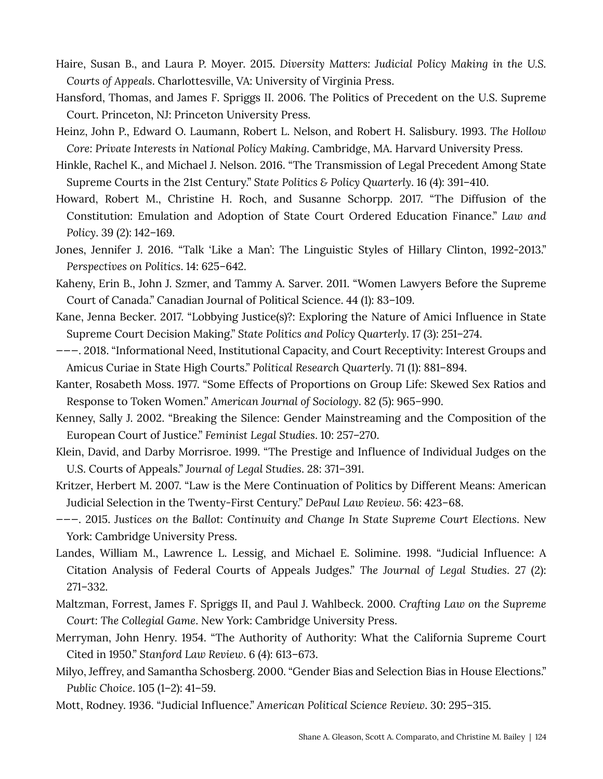- Haire, Susan B., and Laura P. Moyer. 2015. Diversity Matters: Judicial Policy Making in the U.S. Courts of Appeals. Charlottesville, VA: University of Virginia Press.
- Hansford, Thomas, and James F. Spriggs II. 2006. The Politics of Precedent on the U.S. Supreme Court. Princeton, NJ: Princeton University Press.
- Heinz, John P., Edward O. Laumann, Robert L. Nelson, and Robert H. Salisbury. 1993. The Hollow Core: Private Interests in National Policy Making. Cambridge, MA. Harvard University Press.
- Hinkle, Rachel K., and Michael J. Nelson. 2016. "The Transmission of Legal Precedent Among State Supreme Courts in the 21st Century." State Politics & Policy Quarterly. 16 (4): 391-410.
- Howard, Robert M., Christine H. Roch, and Susanne Schorpp. 2017. "The Diffusion of the Constitution: Emulation and Adoption of State Court Ordered Education Finance." Law and Policy. 39 (2): 142-169.
- Jones, Jennifer J. 2016. "Talk 'Like a Man': The Linguistic Styles of Hillary Clinton, 1992-2013." Perspectives on Politics. 14: 625–642.
- Kaheny, Erin B., John J. Szmer, and Tammy A. Sarver. 2011. "Women Lawyers Before the Supreme Court of Canada." Canadian Journal of Political Science. 44 (1): 83-109.
- Kane, Jenna Becker. 2017. "Lobbying Justice(s)?: Exploring the Nature of Amici Influence in State Supreme Court Decision Making." State Politics and Policy Quarterly. 17 (3): 251–274.
- ---. 2018. "Informational Need, Institutional Capacity, and Court Receptivity: Interest Groups and Amicus Curiae in State High Courts." Political Research Quarterly. 71 (1): 881-894.
- Kanter, Rosabeth Moss. 1977. "Some Effects of Proportions on Group Life: Skewed Sex Ratios and Response to Token Women." American Journal of Sociology. 82 (5): 965–990.
- Kenney, Sally J. 2002. "Breaking the Silence: Gender Mainstreaming and the Composition of the European Court of Justice." Feminist Legal Studies. 10: 257–270.
- Klein, David, and Darby Morrisroe. 1999. "The Prestige and Influence of Individual Judges on the U.S. Courts of Appeals." Journal of Legal Studies. 28: 371–391.
- Kritzer, Herbert M. 2007. "Law is the Mere Continuation of Politics by Different Means: American Judicial Selection in the Twenty-First Century." DePaul Law Review. 56: 423-68.
- ---. 2015. Justices on the Ballot: Continuity and Change In State Supreme Court Elections. New York: Cambridge University Press.
- Landes, William M., Lawrence L. Lessig, and Michael E. Solimine. 1998. "Judicial Influence: A Citation Analysis of Federal Courts of Appeals Judges." The Journal of Legal Studies. 27 (2):  $271 - 332.$
- Maltzman, Forrest, James F. Spriggs II, and Paul J. Wahlbeck. 2000. Crafting Law on the Supreme Court: The Collegial Game. New York: Cambridge University Press.
- Merryman, John Henry. 1954. "The Authority of Authority: What the California Supreme Court Cited in 1950." Stanford Law Review. 6 (4): 613-673.
- Milyo, Jeffrey, and Samantha Schosberg. 2000. "Gender Bias and Selection Bias in House Elections." Public Choice. 105 (1-2): 41-59.
- Mott, Rodney. 1936. "Judicial Influence." American Political Science Review. 30: 295-315.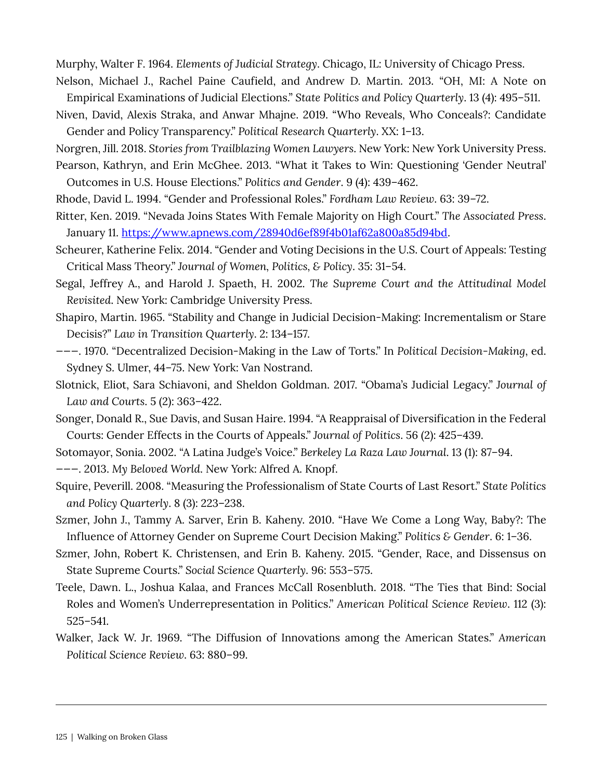Murphy, Walter F. 1964. Elements of Judicial Strategy. Chicago, IL: University of Chicago Press.

Nelson, Michael J., Rachel Paine Caufield, and Andrew D. Martin. 2013. "OH, MI: A Note on Empirical Examinations of Judicial Elections." State Politics and Policy Quarterly. 13 (4): 495–511.

Niven, David, Alexis Straka, and Anwar Mhajne. 2019. "Who Reveals, Who Conceals?: Candidate Gender and Policy Transparency." Political Research Quarterly. XX: 1-13.

Norgren, Jill. 2018. Stories from Trailblazing Women Lawyers. New York: New York University Press. Pearson, Kathryn, and Erin McGhee. 2013. "What it Takes to Win: Questioning 'Gender Neutral'

Outcomes in U.S. House Elections." Politics and Gender. 9 (4): 439–462.

Rhode, David L. 1994. "Gender and Professional Roles." Fordham Law Review. 63: 39-72.

Ritter, Ken. 2019. "Nevada Joins States With Female Majority on High Court." The Associated Press. January 11. https://www.apnews.com/28940d6ef89f4b01af62a800a85d94bd.

Scheurer, Katherine Felix. 2014. "Gender and Voting Decisions in the U.S. Court of Appeals: Testing Critical Mass Theory." Journal of Women, Politics, & Policy. 35: 31-54.

Segal, Jeffrey A., and Harold J. Spaeth, H. 2002. The Supreme Court and the Attitudinal Model Revisited. New York: Cambridge University Press.

Shapiro, Martin. 1965. "Stability and Change in Judicial Decision-Making: Incrementalism or Stare Decisis?" Law in Transition Quarterly. 2: 134-157.

---. 1970. "Decentralized Decision-Making in the Law of Torts." In Political Decision-Making, ed. Sydney S. Ulmer, 44-75. New York: Van Nostrand.

Slotnick, Eliot, Sara Schiavoni, and Sheldon Goldman. 2017. "Obama's Judicial Legacy." Journal of Law and Courts. 5 (2): 363-422.

Songer, Donald R., Sue Davis, and Susan Haire. 1994. "A Reappraisal of Diversification in the Federal Courts: Gender Effects in the Courts of Appeals." Journal of Politics. 56 (2): 425-439.

Sotomayor, Sonia. 2002. "A Latina Judge's Voice." Berkeley La Raza Law Journal. 13 (1): 87-94.

---. 2013. My Beloved World. New York: Alfred A. Knopf.

Squire, Peverill. 2008. "Measuring the Professionalism of State Courts of Last Resort." State Politics and Policy Quarterly. 8 (3): 223-238.

Szmer, John J., Tammy A. Sarver, Erin B. Kaheny. 2010. "Have We Come a Long Way, Baby?: The Influence of Attorney Gender on Supreme Court Decision Making." Politics & Gender. 6: 1-36.

Szmer, John, Robert K. Christensen, and Erin B. Kaheny. 2015. "Gender, Race, and Dissensus on State Supreme Courts." Social Science Quarterly. 96: 553–575.

Teele, Dawn. L., Joshua Kalaa, and Frances McCall Rosenbluth. 2018. "The Ties that Bind: Social Roles and Women's Underrepresentation in Politics." American Political Science Review. 112 (3):  $525 - 541.$ 

Walker, Jack W. Jr. 1969. "The Diffusion of Innovations among the American States." American Political Science Review. 63: 880-99.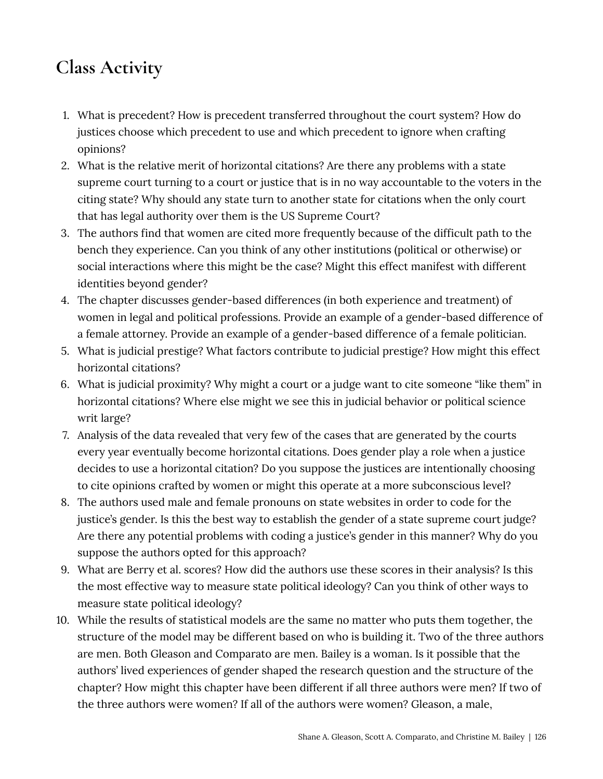# **Class Activity**

- 1. What is precedent? How is precedent transferred throughout the court system? How do justices choose which precedent to use and which precedent to ignore when crafting opinions?
- 2. What is the relative merit of horizontal citations? Are there any problems with a state supreme court turning to a court or justice that is in no way accountable to the voters in the citing state? Why should any state turn to another state for citations when the only court that has legal authority over them is the US Supreme Court?
- 3. The authors find that women are cited more frequently because of the difficult path to the bench they experience. Can you think of any other institutions (political or otherwise) or social interactions where this might be the case? Might this effect manifest with different identities beyond gender?
- 4. The chapter discusses gender-based differences (in both experience and treatment) of women in legal and political professions. Provide an example of a gender-based difference of a female attorney. Provide an example of a gender-based difference of a female politician.
- 5. What is judicial prestige? What factors contribute to judicial prestige? How might this effect horizontal citations?
- 6. What is judicial proximity? Why might a court or a judge want to cite someone "like them" in horizontal citations? Where else might we see this in judicial behavior or political science writ large?
- 7. Analysis of the data revealed that very few of the cases that are generated by the courts every year eventually become horizontal citations. Does gender play a role when a justice decides to use a horizontal citation? Do you suppose the justices are intentionally choosing to cite opinions crafted by women or might this operate at a more subconscious level?
- 8. The authors used male and female pronouns on state websites in order to code for the justice's gender. Is this the best way to establish the gender of a state supreme court judge? Are there any potential problems with coding a justice's gender in this manner? Why do you suppose the authors opted for this approach?
- 9. What are Berry et al. scores? How did the authors use these scores in their analysis? Is this the most effective way to measure state political ideology? Can you think of other ways to measure state political ideology?
- 10. While the results of statistical models are the same no matter who puts them together, the structure of the model may be different based on who is building it. Two of the three authors are men. Both Gleason and Comparato are men. Bailey is a woman. Is it possible that the authors' lived experiences of gender shaped the research question and the structure of the chapter? How might this chapter have been different if all three authors were men? If two of the three authors were women? If all of the authors were women? Gleason, a male,